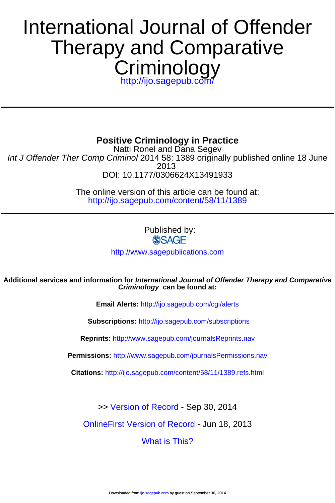# **Criminology** Therapy and Comparative International Journal of Offender

<http://ijo.sagepub.com/>

**Positive Criminology in Practice**

DOI: 10.1177/0306624X13491933 2013 Int J Offender Ther Comp Criminol 2014 58: 1389 originally published online 18 June Natti Ronel and Dana Segev

> <http://ijo.sagepub.com/content/58/11/1389> The online version of this article can be found at:

> > Published by: **SSAGE**

<http://www.sagepublications.com>

**Criminology can be found at: Additional services and information for International Journal of Offender Therapy and Comparative**

**Email Alerts:** <http://ijo.sagepub.com/cgi/alerts>

**Subscriptions:** <http://ijo.sagepub.com/subscriptions>

**Reprints:** <http://www.sagepub.com/journalsReprints.nav>

**Permissions:** <http://www.sagepub.com/journalsPermissions.nav>

**Citations:** <http://ijo.sagepub.com/content/58/11/1389.refs.html>

>> [Version of Record -](http://ijo.sagepub.com/content/58/11/1389.full.pdf) Sep 30, 2014

[OnlineFirst Version of Record -](http://ijo.sagepub.com/content/early/2013/06/18/0306624X13491933.full.pdf) Jun 18, 2013

[What is This?](http://online.sagepub.com/site/sphelp/vorhelp.xhtml)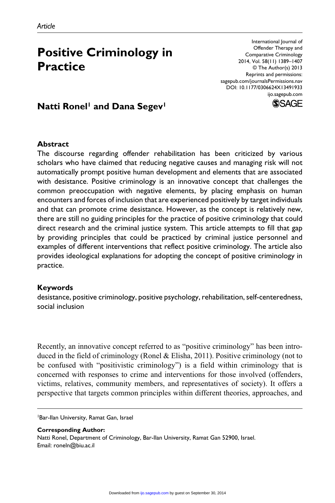# **Positive Criminology in Practice**

International Journal of Offender Therapy and Comparative Criminology 2014, Vol. 58(11) 1389–1407 © The Author(s) 2013 Reprints and permissions: sagepub.com/journalsPermissions.nav DOI: 10.1177/0306624X13491933 ijo.sagepub.com



# **Natti Ronel<sup>1</sup> and Dana Segev<sup>1</sup>**

#### **Abstract**

The discourse regarding offender rehabilitation has been criticized by various scholars who have claimed that reducing negative causes and managing risk will not automatically prompt positive human development and elements that are associated with desistance. Positive criminology is an innovative concept that challenges the common preoccupation with negative elements, by placing emphasis on human encounters and forces of inclusion that are experienced positively by target individuals and that can promote crime desistance. However, as the concept is relatively new, there are still no guiding principles for the practice of positive criminology that could direct research and the criminal justice system. This article attempts to fill that gap by providing principles that could be practiced by criminal justice personnel and examples of different interventions that reflect positive criminology. The article also provides ideological explanations for adopting the concept of positive criminology in practice.

#### **Keywords**

desistance, positive criminology, positive psychology, rehabilitation, self-centeredness, social inclusion

Recently, an innovative concept referred to as "positive criminology" has been introduced in the field of criminology (Ronel & Elisha, 2011). Positive criminology (not to be confused with "positivistic criminology") is a field within criminology that is concerned with responses to crime and interventions for those involved (offenders, victims, relatives, community members, and representatives of society). It offers a perspective that targets common principles within different theories, approaches, and

1Bar-Ilan University, Ramat Gan, Israel

**Corresponding Author:** Natti Ronel, Department of Criminology, Bar-Ilan University, Ramat Gan 52900, Israel. Email: roneln@biu.ac.il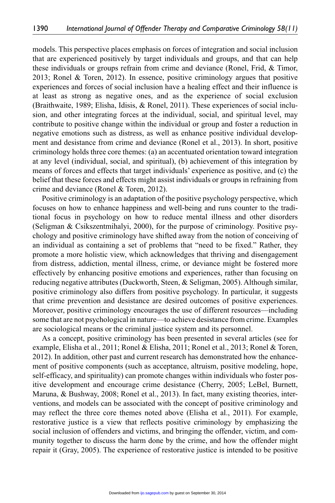models. This perspective places emphasis on forces of integration and social inclusion that are experienced positively by target individuals and groups, and that can help these individuals or groups refrain from crime and deviance (Ronel, Frid, & Timor, 2013; Ronel & Toren, 2012). In essence, positive criminology argues that positive experiences and forces of social inclusion have a healing effect and their influence is at least as strong as negative ones, and as the experience of social exclusion (Braithwaite, 1989; Elisha, Idisis, & Ronel, 2011). These experiences of social inclusion, and other integrating forces at the individual, social, and spiritual level, may contribute to positive change within the individual or group and foster a reduction in negative emotions such as distress, as well as enhance positive individual development and desistance from crime and deviance (Ronel et al., 2013). In short, positive criminology holds three core themes: (a) an accentuated orientation toward integration at any level (individual, social, and spiritual), (b) achievement of this integration by means of forces and effects that target individuals' experience as positive, and (c) the belief that these forces and effects might assist individuals or groups in refraining from crime and deviance (Ronel & Toren, 2012).

Positive criminology is an adaptation of the positive psychology perspective, which focuses on how to enhance happiness and well-being and runs counter to the traditional focus in psychology on how to reduce mental illness and other disorders (Seligman & Csikszentmihalyi, 2000), for the purpose of criminology. Positive psychology and positive criminology have shifted away from the notion of conceiving of an individual as containing a set of problems that "need to be fixed." Rather, they promote a more holistic view, which acknowledges that thriving and disengagement from distress, addiction, mental illness, crime, or deviance might be fostered more effectively by enhancing positive emotions and experiences, rather than focusing on reducing negative attributes (Duckworth, Steen, & Seligman, 2005). Although similar, positive criminology also differs from positive psychology. In particular, it suggests that crime prevention and desistance are desired outcomes of positive experiences. Moreover, positive criminology encourages the use of different resources—including some that are not psychological in nature—to achieve desistance from crime. Examples are sociological means or the criminal justice system and its personnel.

As a concept, positive criminology has been presented in several articles (see for example, Elisha et al., 2011; Ronel & Elisha, 2011; Ronel et al., 2013; Ronel & Toren, 2012). In addition, other past and current research has demonstrated how the enhancement of positive components (such as acceptance, altruism, positive modeling, hope, self-efficacy, and spirituality) can promote changes within individuals who foster positive development and encourage crime desistance (Cherry, 2005; LeBel, Burnett, Maruna, & Bushway, 2008; Ronel et al., 2013). In fact, many existing theories, interventions, and models can be associated with the concept of positive criminology and may reflect the three core themes noted above (Elisha et al., 2011). For example, restorative justice is a view that reflects positive criminology by emphasizing the social inclusion of offenders and victims, and bringing the offender, victim, and community together to discuss the harm done by the crime, and how the offender might repair it (Gray, 2005). The experience of restorative justice is intended to be positive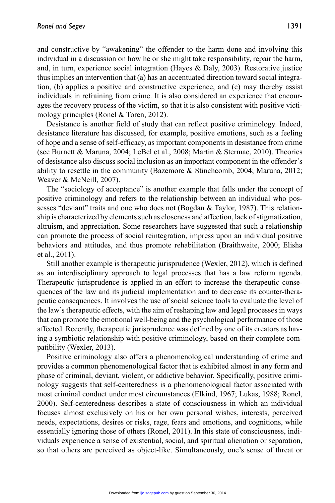and constructive by "awakening" the offender to the harm done and involving this individual in a discussion on how he or she might take responsibility, repair the harm, and, in turn, experience social integration (Hayes & Daly, 2003). Restorative justice thus implies an intervention that (a) has an accentuated direction toward social integration, (b) applies a positive and constructive experience, and (c) may thereby assist individuals in refraining from crime. It is also considered an experience that encourages the recovery process of the victim, so that it is also consistent with positive victimology principles (Ronel & Toren, 2012).

Desistance is another field of study that can reflect positive criminology. Indeed, desistance literature has discussed, for example, positive emotions, such as a feeling of hope and a sense of self-efficacy, as important components in desistance from crime (see Burnett & Maruna, 2004; LeBel et al., 2008; Martin & Stermac, 2010). Theories of desistance also discuss social inclusion as an important component in the offender's ability to resettle in the community (Bazemore & Stinchcomb, 2004; Maruna, 2012; Weaver & McNeill, 2007).

The "sociology of acceptance" is another example that falls under the concept of positive criminology and refers to the relationship between an individual who possesses "deviant" traits and one who does not (Bogdan & Taylor, 1987). This relationship is characterized by elements such as closeness and affection, lack of stigmatization, altruism, and appreciation. Some researchers have suggested that such a relationship can promote the process of social reintegration, impress upon an individual positive behaviors and attitudes, and thus promote rehabilitation (Braithwaite, 2000; Elisha et al., 2011).

Still another example is therapeutic jurisprudence (Wexler, 2012), which is defined as an interdisciplinary approach to legal processes that has a law reform agenda. Therapeutic jurisprudence is applied in an effort to increase the therapeutic consequences of the law and its judicial implementation and to decrease its counter-therapeutic consequences. It involves the use of social science tools to evaluate the level of the law's therapeutic effects, with the aim of reshaping law and legal processes in ways that can promote the emotional well-being and the psychological performance of those affected. Recently, therapeutic jurisprudence was defined by one of its creators as having a symbiotic relationship with positive criminology, based on their complete compatibility (Wexler, 2013).

Positive criminology also offers a phenomenological understanding of crime and provides a common phenomenological factor that is exhibited almost in any form and phase of criminal, deviant, violent, or addictive behavior. Specifically, positive criminology suggests that self-centeredness is a phenomenological factor associated with most criminal conduct under most circumstances (Elkind, 1967; Lukas, 1988; Ronel, 2000). Self-centeredness describes a state of consciousness in which an individual focuses almost exclusively on his or her own personal wishes, interests, perceived needs, expectations, desires or risks, rage, fears and emotions, and cognitions, while essentially ignoring those of others (Ronel, 2011). In this state of consciousness, individuals experience a sense of existential, social, and spiritual alienation or separation, so that others are perceived as object-like. Simultaneously, one's sense of threat or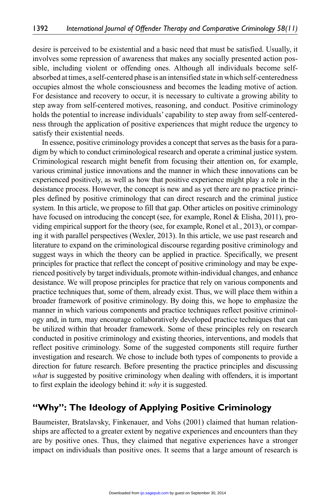desire is perceived to be existential and a basic need that must be satisfied. Usually, it involves some repression of awareness that makes any socially presented action possible, including violent or offending ones. Although all individuals become selfabsorbed at times, a self-centered phase is an intensified state in which self-centeredness occupies almost the whole consciousness and becomes the leading motive of action. For desistance and recovery to occur, it is necessary to cultivate a growing ability to step away from self-centered motives, reasoning, and conduct. Positive criminology holds the potential to increase individuals' capability to step away from self-centeredness through the application of positive experiences that might reduce the urgency to satisfy their existential needs.

In essence, positive criminology provides a concept that serves as the basis for a paradigm by which to conduct criminological research and operate a criminal justice system. Criminological research might benefit from focusing their attention on, for example, various criminal justice innovations and the manner in which these innovations can be experienced positively, as well as how that positive experience might play a role in the desistance process. However, the concept is new and as yet there are no practice principles defined by positive criminology that can direct research and the criminal justice system. In this article, we propose to fill that gap. Other articles on positive criminology have focused on introducing the concept (see, for example, Ronel & Elisha, 2011), providing empirical support for the theory (see, for example, Ronel et al., 2013), or comparing it with parallel perspectives (Wexler, 2013). In this article, we use past research and literature to expand on the criminological discourse regarding positive criminology and suggest ways in which the theory can be applied in practice. Specifically, we present principles for practice that reflect the concept of positive criminology and may be experienced positively by target individuals, promote within-individual changes, and enhance desistance. We will propose principles for practice that rely on various components and practice techniques that, some of them, already exist. Thus, we will place them within a broader framework of positive criminology. By doing this, we hope to emphasize the manner in which various components and practice techniques reflect positive criminology and, in turn, may encourage collaboratively developed practice techniques that can be utilized within that broader framework. Some of these principles rely on research conducted in positive criminology and existing theories, interventions, and models that reflect positive criminology. Some of the suggested components still require further investigation and research. We chose to include both types of components to provide a direction for future research. Before presenting the practice principles and discussing *what* is suggested by positive criminology when dealing with offenders, it is important to first explain the ideology behind it: *why* it is suggested.

## **"Why": The Ideology of Applying Positive Criminology**

Baumeister, Bratslavsky, Finkenauer, and Vohs (2001) claimed that human relationships are affected to a greater extent by negative experiences and encounters than they are by positive ones. Thus, they claimed that negative experiences have a stronger impact on individuals than positive ones. It seems that a large amount of research is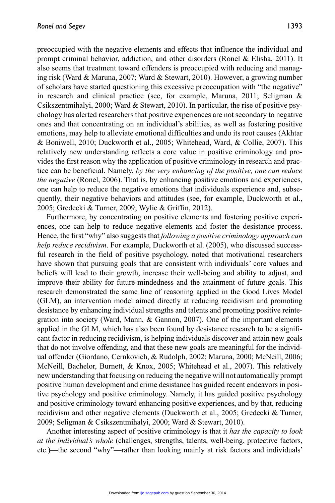preoccupied with the negative elements and effects that influence the individual and prompt criminal behavior, addiction, and other disorders (Ronel & Elisha, 2011). It also seems that treatment toward offenders is preoccupied with reducing and managing risk (Ward & Maruna, 2007; Ward & Stewart, 2010). However, a growing number of scholars have started questioning this excessive preoccupation with "the negative" in research and clinical practice (see, for example, Maruna, 2011; Seligman & Csikszentmihalyi, 2000; Ward & Stewart, 2010). In particular, the rise of positive psychology has alerted researchers that positive experiences are not secondary to negative ones and that concentrating on an individual's abilities, as well as fostering positive emotions, may help to alleviate emotional difficulties and undo its root causes (Akhtar & Boniwell, 2010; Duckworth et al., 2005; Whitehead, Ward, & Collie, 2007). This relatively new understanding reflects a core value in positive criminology and provides the first reason why the application of positive criminology in research and practice can be beneficial. Namely, *by the very enhancing of the positive, one can reduce the negative* (Ronel, 2006). That is, by enhancing positive emotions and experiences, one can help to reduce the negative emotions that individuals experience and, subsequently, their negative behaviors and attitudes (see, for example, Duckworth et al., 2005; Gredecki & Turner, 2009; Wylie & Griffin, 2012).

Furthermore, by concentrating on positive elements and fostering positive experiences, one can help to reduce negative elements and foster the desistance process. Hence, the first "why" also suggests that *following a positive criminology approach can help reduce recidivism*. For example, Duckworth et al. (2005), who discussed successful research in the field of positive psychology, noted that motivational researchers have shown that pursuing goals that are consistent with individuals' core values and beliefs will lead to their growth, increase their well-being and ability to adjust, and improve their ability for future-mindedness and the attainment of future goals. This research demonstrated the same line of reasoning applied in the Good Lives Model (GLM), an intervention model aimed directly at reducing recidivism and promoting desistance by enhancing individual strengths and talents and promoting positive reintegration into society (Ward, Mann, & Gannon, 2007). One of the important elements applied in the GLM, which has also been found by desistance research to be a significant factor in reducing recidivism, is helping individuals discover and attain new goals that do not involve offending, and that these new goals are meaningful for the individual offender (Giordano, Cernkovich, & Rudolph, 2002; Maruna, 2000; McNeill, 2006; McNeill, Bachelor, Burnett, & Knox, 2005; Whitehead et al., 2007). This relatively new understanding that focusing on reducing the negative will not automatically prompt positive human development and crime desistance has guided recent endeavors in positive psychology and positive criminology. Namely, it has guided positive psychology and positive criminology toward enhancing positive experiences, and by that, reducing recidivism and other negative elements (Duckworth et al., 2005; Gredecki & Turner, 2009; Seligman & Csikszentmihalyi, 2000; Ward & Stewart, 2010).

Another interesting aspect of positive criminology is that it *has the capacity to look at the individual's whole* (challenges, strengths, talents, well-being, protective factors, etc.)—the second "why"—rather than looking mainly at risk factors and individuals'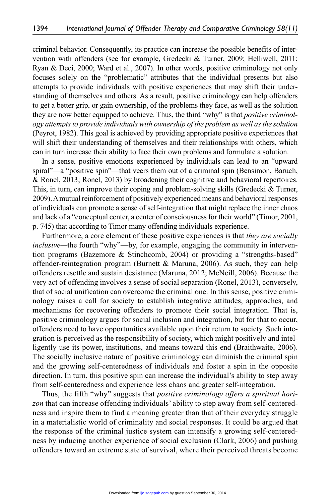criminal behavior. Consequently, its practice can increase the possible benefits of intervention with offenders (see for example, Gredecki & Turner, 2009; Helliwell, 2011; Ryan & Deci, 2000; Ward et al., 2007). In other words, positive criminology not only focuses solely on the "problematic" attributes that the individual presents but also attempts to provide individuals with positive experiences that may shift their understanding of themselves and others. As a result, positive criminology can help offenders to get a better grip, or gain ownership, of the problems they face, as well as the solution they are now better equipped to achieve. Thus, the third "why" is that *positive criminology attempts to provide individuals with ownership of the problem as well as the solution* (Peyrot, 1982). This goal is achieved by providing appropriate positive experiences that will shift their understanding of themselves and their relationships with others, which can in turn increase their ability to face their own problems and formulate a solution.

In a sense, positive emotions experienced by individuals can lead to an "upward spiral"—a "positive spin"—that veers them out of a criminal spin (Bensimon, Baruch, & Ronel, 2013; Ronel, 2013) by broadening their cognitive and behavioral repertoires. This, in turn, can improve their coping and problem-solving skills (Gredecki & Turner, 2009). A mutual reinforcement of positively experienced means and behavioral responses of individuals can promote a sense of self-integration that might replace the inner chaos and lack of a "conceptual center, a center of consciousness for their world" (Timor, 2001, p. 745) that according to Timor many offending individuals experience.

Furthermore, a core element of these positive experiences is that *they are socially inclusive—*the fourth "why"—by, for example, engaging the community in intervention programs (Bazemore & Stinchcomb, 2004) or providing a "strengths-based" offender-reintegration program (Burnett & Maruna, 2006). As such, they can help offenders resettle and sustain desistance (Maruna, 2012; McNeill, 2006). Because the very act of offending involves a sense of social separation (Ronel, 2013), conversely, that of social unification can overcome the criminal one. In this sense, positive criminology raises a call for society to establish integrative attitudes, approaches, and mechanisms for recovering offenders to promote their social integration. That is, positive criminology argues for social inclusion and integration, but for that to occur, offenders need to have opportunities available upon their return to society. Such integration is perceived as the responsibility of society, which might positively and intelligently use its power, institutions, and means toward this end (Braithwaite, 2006). The socially inclusive nature of positive criminology can diminish the criminal spin and the growing self-centeredness of individuals and foster a spin in the opposite direction. In turn, this positive spin can increase the individual's ability to step away from self-centeredness and experience less chaos and greater self-integration.

Thus, the fifth "why" suggests that *positive criminology offers a spiritual horizon* that can increase offending individuals' ability to step away from self-centeredness and inspire them to find a meaning greater than that of their everyday struggle in a materialistic world of criminality and social responses. It could be argued that the response of the criminal justice system can intensify a growing self-centeredness by inducing another experience of social exclusion (Clark, 2006) and pushing offenders toward an extreme state of survival, where their perceived threats become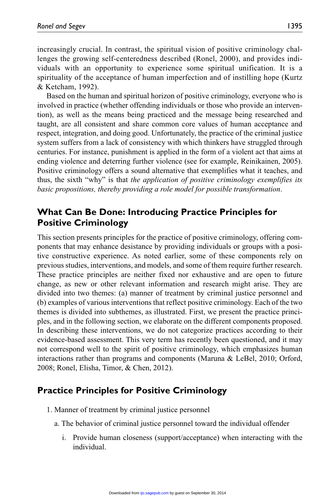increasingly crucial. In contrast, the spiritual vision of positive criminology challenges the growing self-centeredness described (Ronel, 2000), and provides individuals with an opportunity to experience some spiritual unification. It is a spirituality of the acceptance of human imperfection and of instilling hope (Kurtz & Ketcham, 1992).

Based on the human and spiritual horizon of positive criminology, everyone who is involved in practice (whether offending individuals or those who provide an intervention), as well as the means being practiced and the message being researched and taught, are all consistent and share common core values of human acceptance and respect, integration, and doing good. Unfortunately, the practice of the criminal justice system suffers from a lack of consistency with which thinkers have struggled through centuries. For instance, punishment is applied in the form of a violent act that aims at ending violence and deterring further violence (see for example, Reinikainen, 2005). Positive criminology offers a sound alternative that exemplifies what it teaches, and thus, the sixth "why" is that *the application of positive criminology exemplifies its basic propositions, thereby providing a role model for possible transformation*.

# **What Can Be Done: Introducing Practice Principles for Positive Criminology**

This section presents principles for the practice of positive criminology, offering components that may enhance desistance by providing individuals or groups with a positive constructive experience. As noted earlier, some of these components rely on previous studies, interventions, and models, and some of them require further research. These practice principles are neither fixed nor exhaustive and are open to future change, as new or other relevant information and research might arise. They are divided into two themes: (a) manner of treatment by criminal justice personnel and (b) examples of various interventions that reflect positive criminology. Each of the two themes is divided into subthemes, as illustrated. First, we present the practice principles, and in the following section, we elaborate on the different components proposed. In describing these interventions, we do not categorize practices according to their evidence-based assessment. This very term has recently been questioned, and it may not correspond well to the spirit of positive criminology, which emphasizes human interactions rather than programs and components (Maruna & LeBel, 2010; Orford, 2008; Ronel, Elisha, Timor, & Chen, 2012).

# **Practice Principles for Positive Criminology**

- 1. Manner of treatment by criminal justice personnel
	- a. The behavior of criminal justice personnel toward the individual offender
		- i. Provide human closeness (support/acceptance) when interacting with the individual.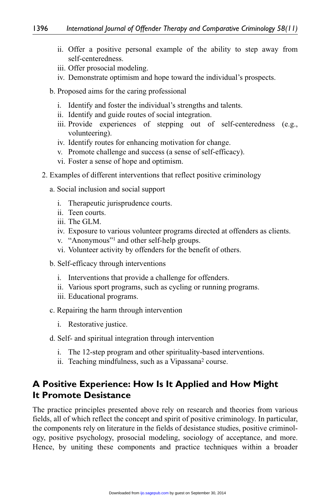- ii. Offer a positive personal example of the ability to step away from self-centeredness.
- iii. Offer prosocial modeling.
- iv. Demonstrate optimism and hope toward the individual's prospects.
- b. Proposed aims for the caring professional
	- i. Identify and foster the individual's strengths and talents.
	- ii. Identify and guide routes of social integration.
	- iii. Provide experiences of stepping out of self-centeredness (e.g., volunteering).
	- iv. Identify routes for enhancing motivation for change.
	- v. Promote challenge and success (a sense of self-efficacy).
	- vi. Foster a sense of hope and optimism.
- 2. Examples of different interventions that reflect positive criminology
	- a. Social inclusion and social support
		- i. Therapeutic jurisprudence courts.
		- ii. Teen courts.
		- iii. The GLM.
		- iv. Exposure to various volunteer programs directed at offenders as clients.
		- v. "Anonymous"1 and other self-help groups.
		- vi. Volunteer activity by offenders for the benefit of others.
	- b. Self-efficacy through interventions
		- i. Interventions that provide a challenge for offenders.
		- ii. Various sport programs, such as cycling or running programs.
		- iii. Educational programs.
	- c. Repairing the harm through intervention
		- i. Restorative justice.
	- d. Self- and spiritual integration through intervention
		- i. The 12-step program and other spirituality-based interventions.
		- ii. Teaching mindfulness, such as a Vipassana<sup>2</sup> course.

# **A Positive Experience: How Is It Applied and How Might It Promote Desistance**

The practice principles presented above rely on research and theories from various fields, all of which reflect the concept and spirit of positive criminology. In particular, the components rely on literature in the fields of desistance studies, positive criminology, positive psychology, prosocial modeling, sociology of acceptance, and more. Hence, by uniting these components and practice techniques within a broader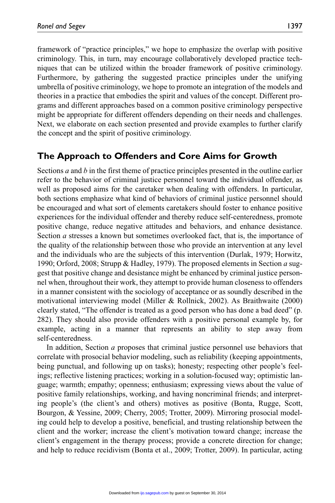framework of "practice principles," we hope to emphasize the overlap with positive criminology. This, in turn, may encourage collaboratively developed practice techniques that can be utilized within the broader framework of positive criminology. Furthermore, by gathering the suggested practice principles under the unifying umbrella of positive criminology, we hope to promote an integration of the models and theories in a practice that embodies the spirit and values of the concept. Different programs and different approaches based on a common positive criminology perspective might be appropriate for different offenders depending on their needs and challenges. Next, we elaborate on each section presented and provide examples to further clarify the concept and the spirit of positive criminology.

## **The Approach to Offenders and Core Aims for Growth**

Sections *a* and *b* in the first theme of practice principles presented in the outline earlier refer to the behavior of criminal justice personnel toward the individual offender, as well as proposed aims for the caretaker when dealing with offenders. In particular, both sections emphasize what kind of behaviors of criminal justice personnel should be encouraged and what sort of elements caretakers should foster to enhance positive experiences for the individual offender and thereby reduce self-centeredness, promote positive change, reduce negative attitudes and behaviors, and enhance desistance. Section *a* stresses a known but sometimes overlooked fact, that is, the importance of the quality of the relationship between those who provide an intervention at any level and the individuals who are the subjects of this intervention (Durlak, 1979; Horwitz, 1990; Orford, 2008; Strupp & Hadley, 1979). The proposed elements in Section *a* suggest that positive change and desistance might be enhanced by criminal justice personnel when, throughout their work, they attempt to provide human closeness to offenders in a manner consistent with the sociology of acceptance or as soundly described in the motivational interviewing model (Miller & Rollnick, 2002). As Braithwaite (2000) clearly stated, "The offender is treated as a good person who has done a bad deed" (p. 282). They should also provide offenders with a positive personal example by, for example, acting in a manner that represents an ability to step away from self-centeredness.

In addition, Section *a* proposes that criminal justice personnel use behaviors that correlate with prosocial behavior modeling, such as reliability (keeping appointments, being punctual, and following up on tasks); honesty; respecting other people's feelings; reflective listening practices; working in a solution-focused way; optimistic language; warmth; empathy; openness; enthusiasm; expressing views about the value of positive family relationships, working, and having noncriminal friends; and interpreting people's (the client's and others) motives as positive (Bonta, Rugge, Scott, Bourgon, & Yessine, 2009; Cherry, 2005; Trotter, 2009). Mirroring prosocial modeling could help to develop a positive, beneficial, and trusting relationship between the client and the worker; increase the client's motivation toward change; increase the client's engagement in the therapy process; provide a concrete direction for change; and help to reduce recidivism (Bonta et al., 2009; Trotter, 2009). In particular, acting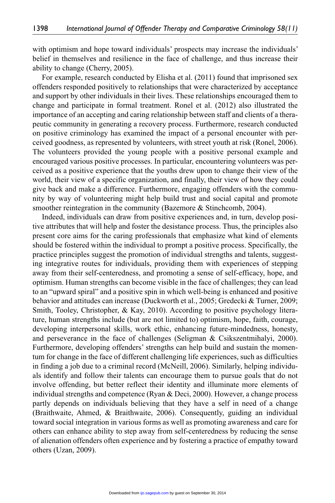with optimism and hope toward individuals' prospects may increase the individuals' belief in themselves and resilience in the face of challenge, and thus increase their ability to change (Cherry, 2005).

For example, research conducted by Elisha et al. (2011) found that imprisoned sex offenders responded positively to relationships that were characterized by acceptance and support by other individuals in their lives. These relationships encouraged them to change and participate in formal treatment. Ronel et al. (2012) also illustrated the importance of an accepting and caring relationship between staff and clients of a therapeutic community in generating a recovery process. Furthermore, research conducted on positive criminology has examined the impact of a personal encounter with perceived goodness, as represented by volunteers, with street youth at risk (Ronel, 2006). The volunteers provided the young people with a positive personal example and encouraged various positive processes. In particular, encountering volunteers was perceived as a positive experience that the youths drew upon to change their view of the world, their view of a specific organization, and finally, their view of how they could give back and make a difference. Furthermore, engaging offenders with the community by way of volunteering might help build trust and social capital and promote smoother reintegration in the community (Bazemore & Stinchcomb, 2004).

Indeed, individuals can draw from positive experiences and, in turn, develop positive attributes that will help and foster the desistance process. Thus, the principles also present core aims for the caring professionals that emphasize what kind of elements should be fostered within the individual to prompt a positive process. Specifically, the practice principles suggest the promotion of individual strengths and talents, suggesting integrative routes for individuals, providing them with experiences of stepping away from their self-centeredness, and promoting a sense of self-efficacy, hope, and optimism. Human strengths can become visible in the face of challenges; they can lead to an "upward spiral" and a positive spin in which well-being is enhanced and positive behavior and attitudes can increase (Duckworth et al., 2005; Gredecki & Turner, 2009; Smith, Tooley, Christopher, & Kay, 2010). According to positive psychology literature, human strengths include (but are not limited to) optimism, hope, faith, courage, developing interpersonal skills, work ethic, enhancing future-mindedness, honesty, and perseverance in the face of challenges (Seligman & Csikszentmihalyi, 2000). Furthermore, developing offenders' strengths can help build and sustain the momentum for change in the face of different challenging life experiences, such as difficulties in finding a job due to a criminal record (McNeill, 2006). Similarly, helping individuals identify and follow their talents can encourage them to pursue goals that do not involve offending, but better reflect their identity and illuminate more elements of individual strengths and competence (Ryan & Deci, 2000). However, a change process partly depends on individuals believing that they have a self in need of a change (Braithwaite, Ahmed, & Braithwaite, 2006). Consequently, guiding an individual toward social integration in various forms as well as promoting awareness and care for others can enhance ability to step away from self-centeredness by reducing the sense of alienation offenders often experience and by fostering a practice of empathy toward others (Uzan, 2009).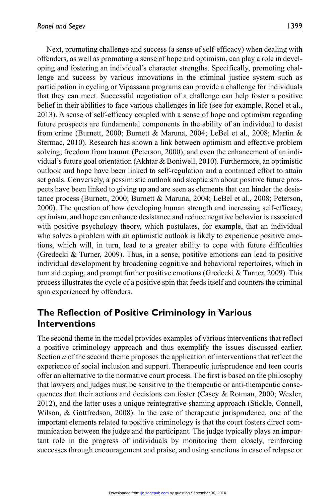Next, promoting challenge and success (a sense of self-efficacy) when dealing with offenders, as well as promoting a sense of hope and optimism, can play a role in developing and fostering an individual's character strengths. Specifically, promoting challenge and success by various innovations in the criminal justice system such as participation in cycling or Vipassana programs can provide a challenge for individuals that they can meet. Successful negotiation of a challenge can help foster a positive belief in their abilities to face various challenges in life (see for example, Ronel et al., 2013). A sense of self-efficacy coupled with a sense of hope and optimism regarding future prospects are fundamental components in the ability of an individual to desist from crime (Burnett, 2000; Burnett & Maruna, 2004; LeBel et al., 2008; Martin & Stermac, 2010). Research has shown a link between optimism and effective problem solving, freedom from trauma (Peterson, 2000), and even the enhancement of an individual's future goal orientation (Akhtar & Boniwell, 2010). Furthermore, an optimistic outlook and hope have been linked to self-regulation and a continued effort to attain set goals. Conversely, a pessimistic outlook and skepticism about positive future prospects have been linked to giving up and are seen as elements that can hinder the desistance process (Burnett, 2000; Burnett & Maruna, 2004; LeBel et al., 2008; Peterson, 2000). The question of how developing human strength and increasing self-efficacy, optimism, and hope can enhance desistance and reduce negative behavior is associated with positive psychology theory, which postulates, for example, that an individual who solves a problem with an optimistic outlook is likely to experience positive emotions, which will, in turn, lead to a greater ability to cope with future difficulties (Gredecki & Turner, 2009). Thus, in a sense, positive emotions can lead to positive individual development by broadening cognitive and behavioral repertoires, which in turn aid coping, and prompt further positive emotions (Gredecki  $&$  Turner, 2009). This process illustrates the cycle of a positive spin that feeds itself and counters the criminal spin experienced by offenders.

# **The Reflection of Positive Criminology in Various Interventions**

The second theme in the model provides examples of various interventions that reflect a positive criminology approach and thus exemplify the issues discussed earlier. Section *a* of the second theme proposes the application of interventions that reflect the experience of social inclusion and support. Therapeutic jurisprudence and teen courts offer an alternative to the normative court process. The first is based on the philosophy that lawyers and judges must be sensitive to the therapeutic or anti-therapeutic consequences that their actions and decisions can foster (Casey  $\&$  Rotman, 2000; Wexler, 2012), and the latter uses a unique reintegrative shaming approach (Stickle, Connell, Wilson, & Gottfredson, 2008). In the case of therapeutic jurisprudence, one of the important elements related to positive criminology is that the court fosters direct communication between the judge and the participant. The judge typically plays an important role in the progress of individuals by monitoring them closely, reinforcing successes through encouragement and praise, and using sanctions in case of relapse or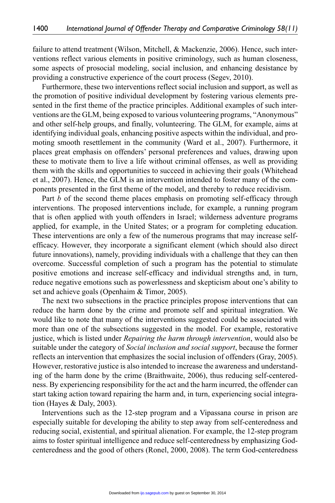failure to attend treatment (Wilson, Mitchell, & Mackenzie, 2006). Hence, such interventions reflect various elements in positive criminology, such as human closeness, some aspects of prosocial modeling, social inclusion, and enhancing desistance by providing a constructive experience of the court process (Segev, 2010).

Furthermore, these two interventions reflect social inclusion and support, as well as the promotion of positive individual development by fostering various elements presented in the first theme of the practice principles. Additional examples of such interventions are the GLM, being exposed to various volunteering programs, "Anonymous" and other self-help groups, and finally, volunteering. The GLM, for example, aims at identifying individual goals, enhancing positive aspects within the individual, and promoting smooth resettlement in the community (Ward et al., 2007). Furthermore, it places great emphasis on offenders' personal preferences and values, drawing upon these to motivate them to live a life without criminal offenses, as well as providing them with the skills and opportunities to succeed in achieving their goals (Whitehead et al., 2007). Hence, the GLM is an intervention intended to foster many of the components presented in the first theme of the model, and thereby to reduce recidivism.

Part *b* of the second theme places emphasis on promoting self-efficacy through interventions. The proposed interventions include, for example, a running program that is often applied with youth offenders in Israel; wilderness adventure programs applied, for example, in the United States; or a program for completing education. These interventions are only a few of the numerous programs that may increase selfefficacy. However, they incorporate a significant element (which should also direct future innovations), namely, providing individuals with a challenge that they can then overcome. Successful completion of such a program has the potential to stimulate positive emotions and increase self-efficacy and individual strengths and, in turn, reduce negative emotions such as powerlessness and skepticism about one's ability to set and achieve goals (Openhaim & Timor, 2005).

The next two subsections in the practice principles propose interventions that can reduce the harm done by the crime and promote self and spiritual integration. We would like to note that many of the interventions suggested could be associated with more than one of the subsections suggested in the model. For example, restorative justice, which is listed under *Repairing the harm through intervention*, would also be suitable under the category of *Social inclusion and social support*, because the former reflects an intervention that emphasizes the social inclusion of offenders (Gray, 2005). However, restorative justice is also intended to increase the awareness and understanding of the harm done by the crime (Braithwaite, 2006), thus reducing self-centeredness. By experiencing responsibility for the act and the harm incurred, the offender can start taking action toward repairing the harm and, in turn, experiencing social integration (Hayes & Daly, 2003).

Interventions such as the 12-step program and a Vipassana course in prison are especially suitable for developing the ability to step away from self-centeredness and reducing social, existential, and spiritual alienation. For example, the 12-step program aims to foster spiritual intelligence and reduce self-centeredness by emphasizing Godcenteredness and the good of others (Ronel, 2000, 2008). The term God-centeredness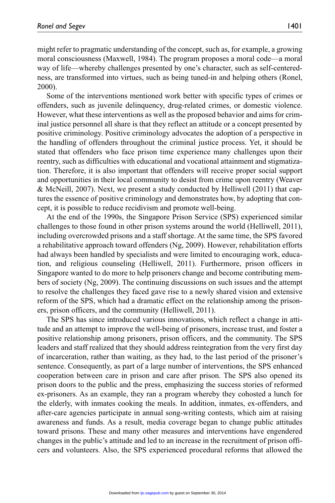might refer to pragmatic understanding of the concept, such as, for example, a growing moral consciousness (Maxwell, 1984). The program proposes a moral code—a moral way of life—whereby challenges presented by one's character, such as self-centeredness, are transformed into virtues, such as being tuned-in and helping others (Ronel, 2000).

Some of the interventions mentioned work better with specific types of crimes or offenders, such as juvenile delinquency, drug-related crimes, or domestic violence. However, what these interventions as well as the proposed behavior and aims for criminal justice personnel all share is that they reflect an attitude or a concept presented by positive criminology. Positive criminology advocates the adoption of a perspective in the handling of offenders throughout the criminal justice process. Yet, it should be stated that offenders who face prison time experience many challenges upon their reentry, such as difficulties with educational and vocational attainment and stigmatization. Therefore, it is also important that offenders will receive proper social support and opportunities in their local community to desist from crime upon reentry (Weaver & McNeill, 2007). Next, we present a study conducted by Helliwell (2011) that captures the essence of positive criminology and demonstrates how, by adopting that concept, it is possible to reduce recidivism and promote well-being.

At the end of the 1990s, the Singapore Prison Service (SPS) experienced similar challenges to those found in other prison systems around the world (Helliwell, 2011), including overcrowded prisons and a staff shortage. At the same time, the SPS favored a rehabilitative approach toward offenders (Ng, 2009). However, rehabilitation efforts had always been handled by specialists and were limited to encouraging work, education, and religious counseling (Helliwell, 2011). Furthermore, prison officers in Singapore wanted to do more to help prisoners change and become contributing members of society (Ng, 2009). The continuing discussions on such issues and the attempt to resolve the challenges they faced gave rise to a newly shared vision and extensive reform of the SPS, which had a dramatic effect on the relationship among the prisoners, prison officers, and the community (Helliwell, 2011).

The SPS has since introduced various innovations, which reflect a change in attitude and an attempt to improve the well-being of prisoners, increase trust, and foster a positive relationship among prisoners, prison officers, and the community. The SPS leaders and staff realized that they should address reintegration from the very first day of incarceration, rather than waiting, as they had, to the last period of the prisoner's sentence. Consequently, as part of a large number of interventions, the SPS enhanced cooperation between care in prison and care after prison. The SPS also opened its prison doors to the public and the press, emphasizing the success stories of reformed ex-prisoners. As an example, they ran a program whereby they cohosted a lunch for the elderly, with inmates cooking the meals. In addition, inmates, ex-offenders, and after-care agencies participate in annual song-writing contests, which aim at raising awareness and funds. As a result, media coverage began to change public attitudes toward prisons. These and many other measures and interventions have engendered changes in the public's attitude and led to an increase in the recruitment of prison officers and volunteers. Also, the SPS experienced procedural reforms that allowed the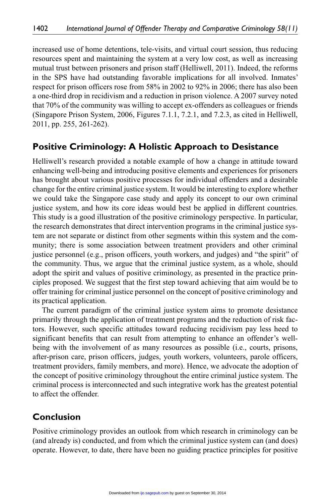increased use of home detentions, tele-visits, and virtual court session, thus reducing resources spent and maintaining the system at a very low cost, as well as increasing mutual trust between prisoners and prison staff (Helliwell, 2011). Indeed, the reforms in the SPS have had outstanding favorable implications for all involved. Inmates' respect for prison officers rose from 58% in 2002 to 92% in 2006; there has also been a one-third drop in recidivism and a reduction in prison violence. A 2007 survey noted that 70% of the community was willing to accept ex-offenders as colleagues or friends (Singapore Prison System, 2006, Figures 7.1.1, 7.2.1, and 7.2.3, as cited in Helliwell, 2011, pp. 255, 261-262).

#### **Positive Criminology: A Holistic Approach to Desistance**

Helliwell's research provided a notable example of how a change in attitude toward enhancing well-being and introducing positive elements and experiences for prisoners has brought about various positive processes for individual offenders and a desirable change for the entire criminal justice system. It would be interesting to explore whether we could take the Singapore case study and apply its concept to our own criminal justice system, and how its core ideas would best be applied in different countries. This study is a good illustration of the positive criminology perspective. In particular, the research demonstrates that direct intervention programs in the criminal justice system are not separate or distinct from other segments within this system and the community; there is some association between treatment providers and other criminal justice personnel (e.g., prison officers, youth workers, and judges) and "the spirit" of the community. Thus, we argue that the criminal justice system, as a whole, should adopt the spirit and values of positive criminology, as presented in the practice principles proposed. We suggest that the first step toward achieving that aim would be to offer training for criminal justice personnel on the concept of positive criminology and its practical application.

The current paradigm of the criminal justice system aims to promote desistance primarily through the application of treatment programs and the reduction of risk factors. However, such specific attitudes toward reducing recidivism pay less heed to significant benefits that can result from attempting to enhance an offender's wellbeing with the involvement of as many resources as possible (i.e., courts, prisons, after-prison care, prison officers, judges, youth workers, volunteers, parole officers, treatment providers, family members, and more). Hence, we advocate the adoption of the concept of positive criminology throughout the entire criminal justice system. The criminal process is interconnected and such integrative work has the greatest potential to affect the offender.

#### **Conclusion**

Positive criminology provides an outlook from which research in criminology can be (and already is) conducted, and from which the criminal justice system can (and does) operate. However, to date, there have been no guiding practice principles for positive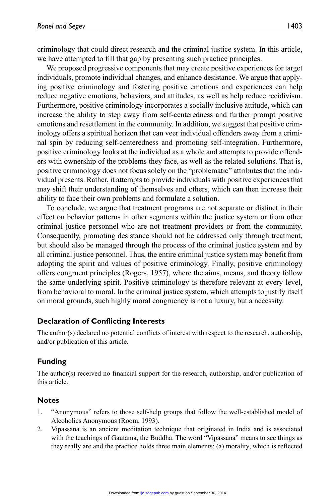criminology that could direct research and the criminal justice system. In this article, we have attempted to fill that gap by presenting such practice principles.

We proposed progressive components that may create positive experiences for target individuals, promote individual changes, and enhance desistance. We argue that applying positive criminology and fostering positive emotions and experiences can help reduce negative emotions, behaviors, and attitudes, as well as help reduce recidivism. Furthermore, positive criminology incorporates a socially inclusive attitude, which can increase the ability to step away from self-centeredness and further prompt positive emotions and resettlement in the community. In addition, we suggest that positive criminology offers a spiritual horizon that can veer individual offenders away from a criminal spin by reducing self-centeredness and promoting self-integration. Furthermore, positive criminology looks at the individual as a whole and attempts to provide offenders with ownership of the problems they face, as well as the related solutions. That is, positive criminology does not focus solely on the "problematic" attributes that the individual presents. Rather, it attempts to provide individuals with positive experiences that may shift their understanding of themselves and others, which can then increase their ability to face their own problems and formulate a solution.

To conclude, we argue that treatment programs are not separate or distinct in their effect on behavior patterns in other segments within the justice system or from other criminal justice personnel who are not treatment providers or from the community. Consequently, promoting desistance should not be addressed only through treatment, but should also be managed through the process of the criminal justice system and by all criminal justice personnel. Thus, the entire criminal justice system may benefit from adopting the spirit and values of positive criminology. Finally, positive criminology offers congruent principles (Rogers, 1957), where the aims, means, and theory follow the same underlying spirit. Positive criminology is therefore relevant at every level, from behavioral to moral. In the criminal justice system, which attempts to justify itself on moral grounds, such highly moral congruency is not a luxury, but a necessity.

#### **Declaration of Conflicting Interests**

The author(s) declared no potential conflicts of interest with respect to the research, authorship, and/or publication of this article.

#### **Funding**

The author(s) received no financial support for the research, authorship, and/or publication of this article.

#### **Notes**

- 1. "Anonymous" refers to those self-help groups that follow the well-established model of Alcoholics Anonymous (Room, 1993).
- 2. Vipassana is an ancient meditation technique that originated in India and is associated with the teachings of Gautama, the Buddha. The word "Vipassana" means to see things as they really are and the practice holds three main elements: (a) morality, which is reflected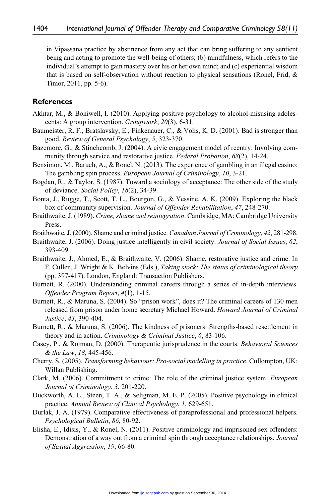in Vipassana practice by abstinence from any act that can bring suffering to any sentient being and acting to promote the well-being of others; (b) mindfulness, which refers to the individual's attempt to gain mastery over his or her own mind; and (c) experiential wisdom that is based on self-observation without reaction to physical sensations (Ronel, Frid, & Timor, 2011, pp. 5-6).

#### **References**

- Akhtar, M., & Boniwell, I. (2010). Applying positive psychology to alcohol-misusing adolescents: A group intervention. *Groupwork*, *20*(3), 6-31.
- Baumeister, R. F., Bratslavsky, E., Finkenauer, C., & Vohs, K. D. (2001). Bad is stronger than good. *Review of General Psychology*, *5*, 323-370.
- Bazemore, G., & Stinchcomb, J. (2004). A civic engagement model of reentry: Involving community through service and restorative justice. *Federal Probation*, *68*(2), 14-24.
- Bensimon, M., Baruch, A., & Ronel, N. (2013). The experience of gambling in an illegal casino: The gambling spin process. *European Journal of Criminology*, *10*, 3-21.
- Bogdan, R., & Taylor, S. (1987). Toward a sociology of acceptance: The other side of the study of deviance. *Social Policy*, *18*(2), 34-39.
- Bonta, J., Rugge, T., Scott, T. L., Bourgon, G., & Yessine, A. K. (2009). Exploring the black box of community supervision. *Journal of Offender Rehabilitation*, *47*, 248-270.
- Braithwaite, J. (1989). *Crime, shame and reintegration*. Cambridge, MA: Cambridge University Press.
- Braithwaite, J. (2000). Shame and criminal justice. *Canadian Journal of Criminology*, *42*, 281-298.
- Braithwaite, J. (2006). Doing justice intelligently in civil society. *Journal of Social Issues*, *62*, 393-409.
- Braithwaite, J., Ahmed, E., & Braithwaite, V. (2006). Shame, restorative justice and crime. In F. Cullen, J. Wright & K. Belvins (Eds.), *Taking stock: The status of criminological theory* (pp. 397-417). London, England: Transaction Publishers.
- Burnett, R. (2000). Understanding criminal careers through a series of in-depth interviews. *Offender Program Report*, *4*(1), 1-15.
- Burnett, R., & Maruna, S. (2004). So "prison work", does it? The criminal careers of 130 men released from prison under home secretary Michael Howard. *Howard Journal of Criminal Justice*, *43*, 390-404.
- Burnett, R., & Maruna, S. (2006). The kindness of prisoners: Strengths-based resettlement in theory and in action. *Criminology & Criminal Justice*, *6*, 83-106.
- Casey, P., & Rotman, D. (2000). Therapeutic jurisprudence in the courts. *Behavioral Sciences & the Law*, *18*, 445-456.
- Cherry, S. (2005). *Transforming behaviour: Pro-social modelling in practice*. Cullompton, UK: Willan Publishing.
- Clark, M. (2006). Commitment to crime: The role of the criminal justice system. *European Journal of Criminology*, *3*, 201-220.
- Duckworth, A. L., Steen, T. A., & Seligman, M. E. P. (2005). Positive psychology in clinical practice. *Annual Review of Clinical Psychology*, *1*, 629-651.
- Durlak, J. A. (1979). Comparative effectiveness of paraprofessional and professional helpers. *Psychological Bulletin*, *86*, 80-92.
- Elisha, E., Idisis, Y., & Ronel, N. (2011). Positive criminology and imprisoned sex offenders: Demonstration of a way out from a criminal spin through acceptance relationships. *Journal of Sexual Aggression*, *19*, 66-80.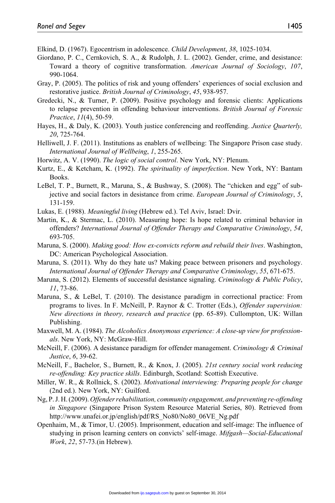Elkind, D. (1967). Egocentrism in adolescence. *Child Development*, *38*, 1025-1034.

- Giordano, P. C., Cernkovich, S. A., & Rudolph, J. L. (2002). Gender, crime, and desistance: Toward a theory of cognitive transformation. *American Journal of Sociology*, *107*, 990-1064.
- Gray, P. (2005). The politics of risk and young offenders' experiences of social exclusion and restorative justice. *British Journal of Criminology*, *45*, 938-957.
- Gredecki, N., & Turner, P. (2009). Positive psychology and forensic clients: Applications to relapse prevention in offending behaviour interventions. *British Journal of Forensic Practice*, *11*(4), 50-59.
- Hayes, H., & Daly, K. (2003). Youth justice conferencing and reoffending. *Justice Quarterly, 20*, 725-764.
- Helliwell, J. F. (2011). Institutions as enablers of wellbeing: The Singapore Prison case study. *International Journal of Wellbeing*, *1*, 255-265.
- Horwitz, A. V. (1990). *The logic of social control*. New York, NY: Plenum.
- Kurtz, E., & Ketcham, K. (1992). *The spirituality of imperfection*. New York, NY: Bantam Books.
- LeBel, T. P., Burnett, R., Maruna, S., & Bushway, S. (2008). The "chicken and egg" of subjective and social factors in desistance from crime. *European Journal of Criminology*, *5*, 131-159.
- Lukas, E. (1988). *Meaningful living* (Hebrew ed.). Tel Aviv, Israel: Dvir.
- Martin, K., & Stermac, L. (2010). Measuring hope: Is hope related to criminal behavior in offenders? *International Journal of Offender Therapy and Comparative Criminology*, *54*, 693-705.
- Maruna, S. (2000). *Making good: How ex-convicts reform and rebuild their lives*. Washington, DC: American Psychological Association.
- Maruna, S. (2011). Why do they hate us? Making peace between prisoners and psychology. *International Journal of Offender Therapy and Comparative Criminology*, *55*, 671-675.
- Maruna, S. (2012). Elements of successful desistance signaling. *Criminology & Public Policy*, *11*, 73-86.
- Maruna, S., & LeBel, T. (2010). The desistance paradigm in correctional practice: From programs to lives. In F. McNeill, P. Raynor & C. Trotter (Eds.), *Offender supervision: New directions in theory, research and practice* (pp. 65-89). Cullompton, UK: Willan Publishing.
- Maxwell, M. A. (1984). *The Alcoholics Anonymous experience: A close-up view for professionals*. New York, NY: McGraw-Hill.
- McNeill, F. (2006). A desistance paradigm for offender management. *Criminology & Criminal Justice*, *6*, 39-62.
- McNeill, F., Bachelor, S., Burnett, R., & Knox, J. (2005). *21st century social work reducing re-offending: Key practice skills*. Edinburgh, Scotland: Scottish Executive.
- Miller, W. R., & Rollnick, S. (2002). *Motivational interviewing: Preparing people for change* (2nd ed.). New York, NY: Guilford.
- Ng, P. J. H. (2009). *Offender rehabilitation, community engagement, and preventing re-offending in Singapore* (Singapore Prison System Resource Material Series, 80). Retrieved from http://www.unafei.or.jp/english/pdf/RS\_No80/No80\_06VE\_Ng.pdf
- Openhaim, M., & Timor, U. (2005). Imprisonment, education and self-image: The influence of studying in prison learning centers on convicts' self-image. *Mifgash—Social-Educational Work*, *22*, 57-73.(in Hebrew).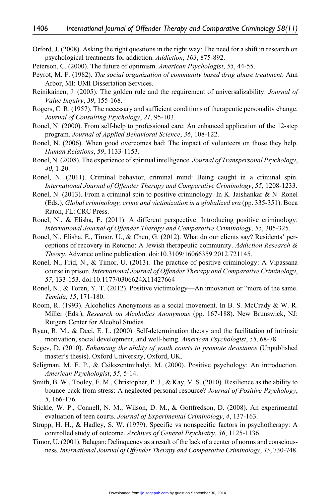- Orford, J. (2008). Asking the right questions in the right way: The need for a shift in research on psychological treatments for addiction. *Addiction*, *103*, 875-892.
- Peterson, C. (2000). The future of optimism. *American Psychologist*, *55*, 44-55.
- Peyrot, M. F. (1982). *The social organization of community based drug abuse treatment*. Ann Arbor, MI: UMI Dissertation Services.
- Reinikainen, J. (2005). The golden rule and the requirement of universalizability. *Journal of Value Inquiry*, *39*, 155-168.
- Rogers, C. R. (1957). The necessary and sufficient conditions of therapeutic personality change. *Journal of Consulting Psychology*, *21*, 95-103.
- Ronel, N. (2000). From self-help to professional care: An enhanced application of the 12-step program. *Journal of Applied Behavioral Science*, *36*, 108-122.
- Ronel, N. (2006). When good overcomes bad: The impact of volunteers on those they help. *Human Relations*, *59*, 1133-1153.
- Ronel, N. (2008). The experience of spiritual intelligence. *Journal of Transpersonal Psychology*, *40*, 1-20.
- Ronel, N. (2011). Criminal behavior, criminal mind: Being caught in a criminal spin. *International Journal of Offender Therapy and Comparative Criminology*, *55*, 1208-1233.
- Ronel, N. (2013). From a criminal spin to positive criminology. In K. Jaishankar & N. Ronel (Eds.), *Global criminology, crime and victimization in a globalized era* (pp. 335-351). Boca Raton, FL: CRC Press.
- Ronel, N., & Elisha, E. (2011). A different perspective: Introducing positive criminology. *International Journal of Offender Therapy and Comparative Criminology*, *55*, 305-325.
- Ronel, N., Elisha, E., Timor, U., & Chen, G. (2012). What do our clients say? Residents' perceptions of recovery in Retorno: A Jewish therapeutic community. *Addiction Research & Theory*. Advance online publication. doi:10.3109/16066359.2012.721145.
- Ronel, N., Frid, N., & Timor, U. (2013). The practice of positive criminology: A Vipassana course in prison. *International Journal of Offender Therapy and Comparative Criminology*, *57*, 133-153. doi:10.1177/0306624X11427664
- Ronel, N., & Toren, Y. T. (2012). Positive victimology—An innovation or "more of the same. *Temida*, *15*, 171-180.
- Room, R. (1993). Alcoholics Anonymous as a social movement. In B. S. McCrady & W. R. Miller (Eds.), *Research on Alcoholics Anonymous* (pp. 167-188). New Brunswick, NJ: Rutgers Center for Alcohol Studies.
- Ryan, R. M., & Deci, E. L. (2000). Self-determination theory and the facilitation of intrinsic motivation, social development, and well-being. *American Psychologist*, *55*, 68-78.
- Segev, D. (2010). *Enhancing the ability of youth courts to promote desistance* (Unpublished master's thesis). Oxford University, Oxford, UK.
- Seligman, M. E. P., & Csikszentmihalyi, M. (2000). Positive psychology: An introduction. *American Psychologist*, *55*, 5-14.
- Smith, B. W., Tooley, E. M., Christopher, P. J., & Kay, V. S. (2010). Resilience as the ability to bounce back from stress: A neglected personal resource? *Journal of Positive Psychology*, *5*, 166-176.
- Stickle, W. P., Connell, N. M., Wilson, D. M., & Gottfredson, D. (2008). An experimental evaluation of teen courts. *Journal of Experimental Criminology*, *4*, 137-163.
- Strupp, H. H., & Hadley, S. W. (1979). Specific vs nonspecific factors in psychotherapy: A controlled study of outcome. *Archives of General Psychiatry*, *36*, 1125-1136.
- Timor, U. (2001). Balagan: Delinquency as a result of the lack of a center of norms and consciousness. *International Journal of Offender Therapy and Comparative Criminology*, *45*, 730-748.